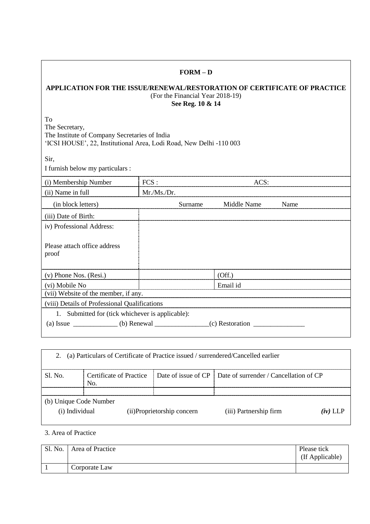## **APPLICATION FOR THE ISSUE/RENEWAL/RESTORATION OF CERTIFICATE OF PRACTICE** (For the Financial Year 2018-19) **See Reg. 10 & 14**

**FORM – D**

To The Secretary, The Institute of Company Secretaries of India 'ICSI HOUSE', 22, Institutional Area, Lodi Road, New Delhi -110 003

Sir,

I furnish below my particulars :

| (i) Membership Number                            | FCS:       |         | ACS:        |      |
|--------------------------------------------------|------------|---------|-------------|------|
| (ii) Name in full                                | Mr.Ms./Dr. |         |             |      |
| (in block letters)                               |            | Surname | Middle Name | Name |
| (iii) Date of Birth:                             |            |         |             |      |
| iv) Professional Address:                        |            |         |             |      |
| Please attach office address<br>proof            |            |         |             |      |
| $(v)$ Phone Nos. $(Resi.)$                       |            |         | (Off.)      |      |
| (vi) Mobile No                                   |            |         | Email id    |      |
| (vii) Website of the member, if any.             |            |         |             |      |
| (viii) Details of Professional Qualifications    |            |         |             |      |
| 1. Submitted for (tick whichever is applicable): |            |         |             |      |
| (a) Issue (b) Renewal (c) Restoration            |            |         |             |      |

| 2.                                       | (a) Particulars of Certificate of Practice issued / surrendered/Cancelled earlier |                             |                                                              |             |
|------------------------------------------|-----------------------------------------------------------------------------------|-----------------------------|--------------------------------------------------------------|-------------|
| S1. No.                                  | Certificate of Practice<br>No.                                                    |                             | Date of issue of CP   Date of surrender / Cancellation of CP |             |
| (b) Unique Code Number<br>(i) Individual |                                                                                   | (ii) Proprietorship concern | (iii) Partnership firm                                       | $(\nu)$ LLP |

3. Area of Practice

| Sl. No. | Area of Practice | Please tick<br>(If Applicable) |
|---------|------------------|--------------------------------|
|         | Corporate Law    |                                |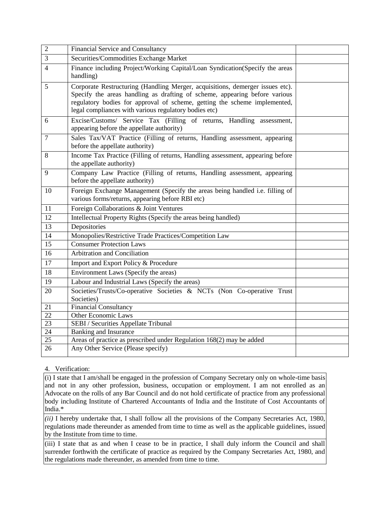| $\overline{2}$           | <b>Financial Service and Consultancy</b>                                                                                                                                                                                                                                                          |  |
|--------------------------|---------------------------------------------------------------------------------------------------------------------------------------------------------------------------------------------------------------------------------------------------------------------------------------------------|--|
| 3                        | Securities/Commodities Exchange Market                                                                                                                                                                                                                                                            |  |
| $\overline{\mathcal{A}}$ | Finance including Project/Working Capital/Loan Syndication(Specify the areas<br>handling)                                                                                                                                                                                                         |  |
| 5                        | Corporate Restructuring (Handling Merger, acquisitions, demerger issues etc).<br>Specify the areas handling as drafting of scheme, appearing before various<br>regulatory bodies for approval of scheme, getting the scheme implemented,<br>legal compliances with various regulatory bodies etc) |  |
| 6                        | Excise/Customs/ Service Tax (Filling of returns, Handling assessment,<br>appearing before the appellate authority)                                                                                                                                                                                |  |
| $\overline{7}$           | Sales Tax/VAT Practice (Filling of returns, Handling assessment, appearing<br>before the appellate authority)                                                                                                                                                                                     |  |
| 8                        | Income Tax Practice (Filling of returns, Handling assessment, appearing before<br>the appellate authority)                                                                                                                                                                                        |  |
| 9                        | Company Law Practice (Filling of returns, Handling assessment, appearing<br>before the appellate authority)                                                                                                                                                                                       |  |
| 10                       | Foreign Exchange Management (Specify the areas being handled i.e. filling of<br>various forms/returns, appearing before RBI etc)                                                                                                                                                                  |  |
| 11                       | Foreign Collaborations & Joint Ventures                                                                                                                                                                                                                                                           |  |
| $\overline{12}$          | Intellectual Property Rights (Specify the areas being handled)                                                                                                                                                                                                                                    |  |
| 13                       | Depositories                                                                                                                                                                                                                                                                                      |  |
| 14                       | Monopolies/Restrictive Trade Practices/Competition Law                                                                                                                                                                                                                                            |  |
| 15                       | <b>Consumer Protection Laws</b>                                                                                                                                                                                                                                                                   |  |
| 16                       | Arbitration and Conciliation                                                                                                                                                                                                                                                                      |  |
| 17                       | Import and Export Policy & Procedure                                                                                                                                                                                                                                                              |  |
| 18                       | Environment Laws (Specify the areas)                                                                                                                                                                                                                                                              |  |
| 19                       | Labour and Industrial Laws (Specify the areas)                                                                                                                                                                                                                                                    |  |
| 20                       | Societies/Trusts/Co-operative Societies & NCTs (Non Co-operative Trust<br>Societies)                                                                                                                                                                                                              |  |
| 21                       | <b>Financial Consultancy</b>                                                                                                                                                                                                                                                                      |  |
| 22                       | <b>Other Economic Laws</b>                                                                                                                                                                                                                                                                        |  |
| $\overline{23}$          | SEBI / Securities Appellate Tribunal                                                                                                                                                                                                                                                              |  |
| 24                       | <b>Banking and Insurance</b>                                                                                                                                                                                                                                                                      |  |
| $\overline{25}$          | Areas of practice as prescribed under Regulation 168(2) may be added                                                                                                                                                                                                                              |  |
| 26                       | Any Other Service (Please specify)                                                                                                                                                                                                                                                                |  |

## 4. Verification:

(i) I state that I am/shall be engaged in the profession of Company Secretary only on whole-time basis and not in any other profession, business, occupation or employment. I am not enrolled as an Advocate on the rolls of any Bar Council and do not hold certificate of practice from any professional body including Institute of Chartered Accountants of India and the Institute of Cost Accountants of India.\*

*(ii)* I hereby undertake that, I shall follow all the provisions of the Company Secretaries Act, 1980, regulations made thereunder as amended from time to time as well as the applicable guidelines, issued by the Institute from time to time.

(iii) I state that as and when I cease to be in practice, I shall duly inform the Council and shall surrender forthwith the certificate of practice as required by the Company Secretaries Act, 1980, and the regulations made thereunder, as amended from time to time.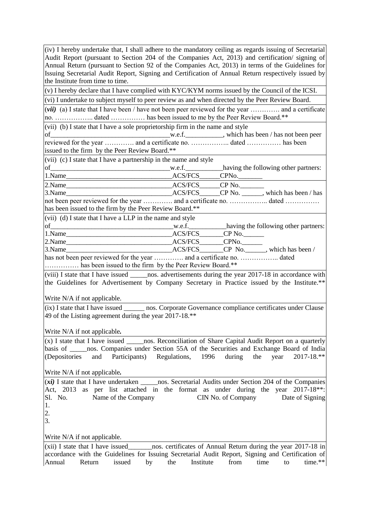| $(iv)$ I hereby undertake that, I shall adhere to the mandatory ceiling as regards issuing of Secretarial             |  |  |
|-----------------------------------------------------------------------------------------------------------------------|--|--|
| Audit Report (pursuant to Section 204 of the Companies Act, 2013) and certification/ signing of                       |  |  |
| Annual Return (pursuant to Section 92 of the Companies Act, 2013) in terms of the Guidelines for                      |  |  |
| Issuing Secretarial Audit Report, Signing and Certification of Annual Return respectively issued by                   |  |  |
| the Institute from time to time.                                                                                      |  |  |
| (v) I hereby declare that I have complied with KYC/KYM norms issued by the Council of the ICSI.                       |  |  |
| (vi) I undertake to subject myself to peer review as and when directed by the Peer Review Board.                      |  |  |
| ( <i>vii</i> ) (a) I state that I have been / have not been peer reviewed for the year  and a certificate             |  |  |
| no.  dated  has been issued to me by the Peer Review Board.**                                                         |  |  |
| (vii) (b) I state that I have a sole proprietorship firm in the name and style                                        |  |  |
|                                                                                                                       |  |  |
| issued to the firm by the Peer Review Board.**                                                                        |  |  |
| (vii) (c) I state that I have a partnership in the name and style                                                     |  |  |
|                                                                                                                       |  |  |
|                                                                                                                       |  |  |
|                                                                                                                       |  |  |
|                                                                                                                       |  |  |
| not been peer reviewed for the year  and a certificate no.  dated                                                     |  |  |
| has been issued to the firm by the Peer Review Board.**                                                               |  |  |
| $(vii)$ (d) I state that I have a LLP in the name and style                                                           |  |  |
|                                                                                                                       |  |  |
|                                                                                                                       |  |  |
| ACS/FCS CP No. which has been /                                                                                       |  |  |
| has not been peer reviewed for the year  and a certificate no.  dated                                                 |  |  |
| has been issued to the firm by the Peer Review Board.**                                                               |  |  |
| (viii) I state that I have issued _______ nos. advertisements during the year $20\overline{17-18}$ in accordance with |  |  |
| the Guidelines for Advertisement by Company Secretary in Practice issued by the Institute.**                          |  |  |
|                                                                                                                       |  |  |
| Write N/A if not applicable.                                                                                          |  |  |
| (ix) I state that I have issued ________ nos. Corporate Governance compliance certificates under Clause               |  |  |
| 49 of the Listing agreement during the year 2017-18.**                                                                |  |  |
| Write N/A if not applicable.                                                                                          |  |  |
|                                                                                                                       |  |  |
| basis of _____ nos. Companies under Section 55A of the Securities and Exchange Board of India                         |  |  |
| and Participants) Regulations, 1996 during<br>(Depositories<br>2017-18.**<br>the<br>year                              |  |  |
|                                                                                                                       |  |  |
| Write N/A if not applicable.                                                                                          |  |  |
|                                                                                                                       |  |  |
| Act, 2013 as per list attached in the format as under during the year 2017-18 <sup>**</sup> :                         |  |  |
| CIN No. of Company Date of Signing<br>Sl. No.<br>Name of the Company                                                  |  |  |
| 1.                                                                                                                    |  |  |
| 2.                                                                                                                    |  |  |
| 3.                                                                                                                    |  |  |
| Write N/A if not applicable.                                                                                          |  |  |
| (xii) I state that I have issued__________nos. certificates of Annual Return during the year 2017-18 in               |  |  |
| idelines for Issuing Coquito                                                                                          |  |  |

accordance with the Guidelines for Issuing Secretarial Audit Report, Signing and Certification of Annual Return issued by the Institute from time to time.\*\*